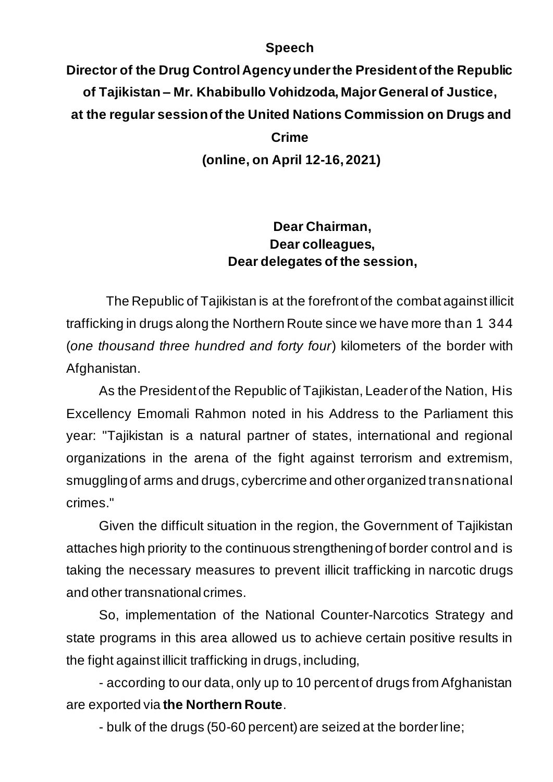## **Speech**

**Director of the Drug Control Agency under the President of the Republic of Tajikistan – Mr. Khabibullo Vohidzoda, Major General of Justice, at the regular session of the United Nations Commission on Drugs and Crime (online, on April 12-16, 2021)**

## **Dear Chairman, Dear colleagues, Dear delegates of the session,**

The Republic of Tajikistan is at the forefront of the combat against illicit trafficking in drugs along the Northern Route since we have more than 1 344 (*one thousand three hundred and forty four*) kilometers of the border with Afghanistan.

As the President of the Republic of Tajikistan, Leader of the Nation, His Excellency Emomali Rahmon noted in his Address to the Parliament this year: "Tajikistan is a natural partner of states, international and regional organizations in the arena of the fight against terrorism and extremism, smuggling of arms and drugs, cybercrime and other organized transnational crimes."

Given the difficult situation in the region, the Government of Tajikistan attaches high priority to the continuous strengthening of border control and is taking the necessary measures to prevent illicit trafficking in narcotic drugs and other transnational crimes.

So, implementation of the National Counter-Narcotics Strategy and state programs in this area allowed us to achieve certain positive results in the fight against illicit trafficking in drugs, including,

- according to our data, only up to 10 percent of drugs from Afghanistan are exported via **the Northern Route**.

- bulk of the drugs (50-60 percent) are seized at the border line;